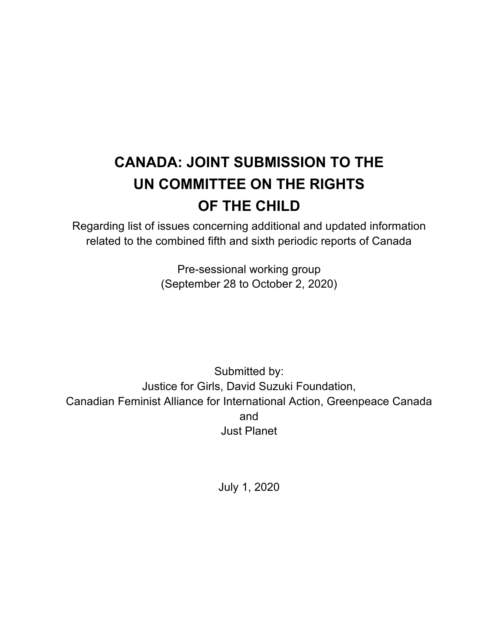# **CANADA: JOINT SUBMISSION TO THE UN COMMITTEE ON THE RIGHTS OF THE CHILD**

Regarding list of issues concerning additional and updated information related to the combined fifth and sixth periodic reports of Canada

> Pre-sessional working group (September 28 to October 2, 2020)

Submitted by: Justice for Girls, David Suzuki Foundation, Canadian Feminist Alliance for International Action, Greenpeace Canada and Just Planet

July 1, 2020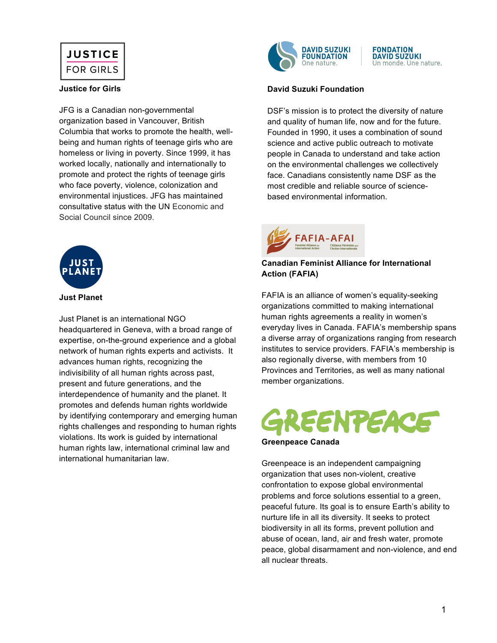

#### **Justice for Girls**

JFG is a Canadian non-governmental organization based in Vancouver, British Columbia that works to promote the health, wellbeing and human rights of teenage girls who are homeless or living in poverty. Since 1999, it has worked locally, nationally and internationally to promote and protect the rights of teenage girls who face poverty, violence, colonization and environmental injustices. JFG has maintained consultative status with the UN Economic and Social Council since 2009.



#### **Just Planet**

Just Planet is an international NGO headquartered in Geneva, with a broad range of expertise, on-the-ground experience and a global network of human rights experts and activists. It advances human rights, recognizing the indivisibility of all human rights across past. present and future generations, and the interdependence of humanity and the planet. It promotes and defends human rights worldwide by identifying contemporary and emerging human rights challenges and responding to human rights violations. Its work is guided by international human rights law, international criminal law and international humanitarian law.



#### **FONDATION DAVID SUZUKI** Un monde. Une nature.

#### **David Suzuki Foundation**

DSF's mission is to protect the diversity of nature and quality of human life, now and for the future. Founded in 1990, it uses a combination of sound science and active public outreach to motivate people in Canada to understand and take action on the environmental challenges we collectively face. Canadians consistently name DSF as the most credible and reliable source of sciencebased environmental information.

#### **Canadian Feminist Alliance for International Action (FAFIA)**

FAFIA is an alliance of women's equality-seeking organizations committed to making international human rights agreements a reality in women's everyday lives in Canada. FAFIA's membership spans a diverse array of organizations ranging from research institutes to service providers. FAFIA's membership is also regionally diverse, with members from 10 Provinces and Territories, as well as many national member organizations.

# **EENTEACE**

#### **Greenpeace Canada**

Greenpeace is an independent campaigning organization that uses non-violent, creative confrontation to expose global environmental problems and force solutions essential to a green, peaceful future. Its goal is to ensure Earth's ability to nurture life in all its diversity. It seeks to protect biodiversity in all its forms, prevent pollution and abuse of ocean, land, air and fresh water, promote peace, global disarmament and non-violence, and end all nuclear threats.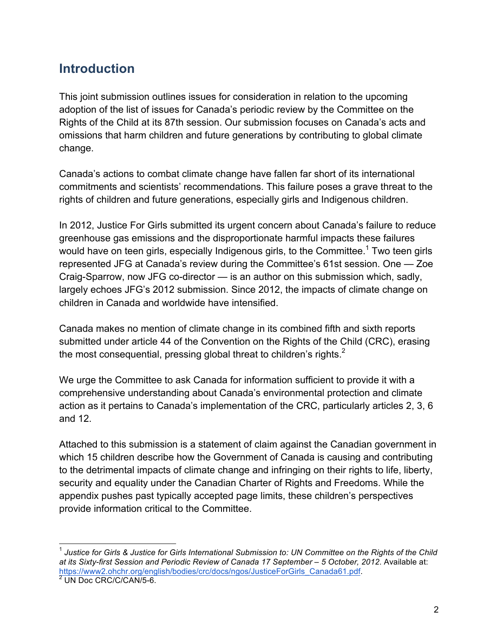## **Introduction**

This joint submission outlines issues for consideration in relation to the upcoming adoption of the list of issues for Canada's periodic review by the Committee on the Rights of the Child at its 87th session. Our submission focuses on Canada's acts and omissions that harm children and future generations by contributing to global climate change.

Canada's actions to combat climate change have fallen far short of its international commitments and scientists' recommendations. This failure poses a grave threat to the rights of children and future generations, especially girls and Indigenous children.

In 2012, Justice For Girls submitted its urgent concern about Canada's failure to reduce greenhouse gas emissions and the disproportionate harmful impacts these failures would have on teen girls, especially Indigenous girls, to the Committee.<sup>1</sup> Two teen girls represented JFG at Canada's review during the Committee's 61st session. One — Zoe Craig-Sparrow, now JFG co-director — is an author on this submission which, sadly, largely echoes JFG's 2012 submission. Since 2012, the impacts of climate change on children in Canada and worldwide have intensified.

Canada makes no mention of climate change in its combined fifth and sixth reports submitted under article 44 of the Convention on the Rights of the Child (CRC), erasing the most consequential, pressing global threat to children's rights. $<sup>2</sup>$ </sup>

We urge the Committee to ask Canada for information sufficient to provide it with a comprehensive understanding about Canada's environmental protection and climate action as it pertains to Canada's implementation of the CRC, particularly articles 2, 3, 6 and 12.

Attached to this submission is a statement of claim against the Canadian government in which 15 children describe how the Government of Canada is causing and contributing to the detrimental impacts of climate change and infringing on their rights to life, liberty, security and equality under the Canadian Charter of Rights and Freedoms. While the appendix pushes past typically accepted page limits, these children's perspectives provide information critical to the Committee.

 <sup>1</sup> *Justice for Girls & Justice for Girls International Submission to: UN Committee on the Rights of the Child at its Sixty-first Session and Periodic Review of Canada 17 September – 5 October, 2012*. Available at: https://www2.ohchr.org/english/bodies/crc/docs/ngos/JusticeForGirls\_Canada61.pdf. <sup>2</sup> UN Doc CRC/C/CAN/5-6.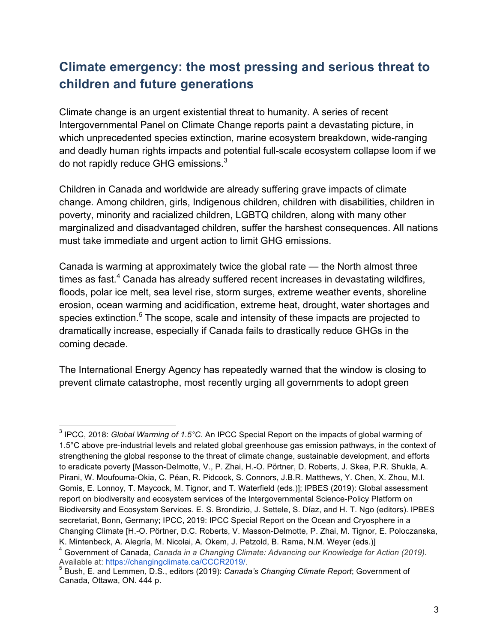# **Climate emergency: the most pressing and serious threat to children and future generations**

Climate change is an urgent existential threat to humanity. A series of recent Intergovernmental Panel on Climate Change reports paint a devastating picture, in which unprecedented species extinction, marine ecosystem breakdown, wide-ranging and deadly human rights impacts and potential full-scale ecosystem collapse loom if we do not rapidly reduce GHG emissions.<sup>3</sup>

Children in Canada and worldwide are already suffering grave impacts of climate change. Among children, girls, Indigenous children, children with disabilities, children in poverty, minority and racialized children, LGBTQ children, along with many other marginalized and disadvantaged children, suffer the harshest consequences. All nations must take immediate and urgent action to limit GHG emissions.

Canada is warming at approximately twice the global rate — the North almost three times as fast. $4$  Canada has already suffered recent increases in devastating wildfires, floods, polar ice melt, sea level rise, storm surges, extreme weather events, shoreline erosion, ocean warming and acidification, extreme heat, drought, water shortages and species extinction.<sup>5</sup> The scope, scale and intensity of these impacts are projected to dramatically increase, especially if Canada fails to drastically reduce GHGs in the coming decade.

The International Energy Agency has repeatedly warned that the window is closing to prevent climate catastrophe, most recently urging all governments to adopt green

 <sup>3</sup> IPCC, 2018: *Global Warming of 1.5°C.* An IPCC Special Report on the impacts of global warming of 1.5°C above pre-industrial levels and related global greenhouse gas emission pathways, in the context of strengthening the global response to the threat of climate change, sustainable development, and efforts to eradicate poverty [Masson-Delmotte, V., P. Zhai, H.-O. Pörtner, D. Roberts, J. Skea, P.R. Shukla, A. Pirani, W. Moufouma-Okia, C. Péan, R. Pidcock, S. Connors, J.B.R. Matthews, Y. Chen, X. Zhou, M.I. Gomis, E. Lonnoy, T. Maycock, M. Tignor, and T. Waterfield (eds.)]; IPBES (2019): Global assessment report on biodiversity and ecosystem services of the Intergovernmental Science-Policy Platform on Biodiversity and Ecosystem Services. E. S. Brondizio, J. Settele, S. Díaz, and H. T. Ngo (editors). IPBES secretariat, Bonn, Germany; IPCC, 2019: IPCC Special Report on the Ocean and Cryosphere in a Changing Climate [H.-O. Pörtner, D.C. Roberts, V. Masson-Delmotte, P. Zhai, M. Tignor, E. Poloczanska, K. Mintenbeck, A. Alegría, M. Nicolai, A. Okem, J. Petzold, B. Rama, N.M. Weyer (eds.)]

<sup>4</sup> Government of Canada, *Canada in a Changing Climate: Advancing our Knowledge for Action (2019).*  Available at: https://changingclimate.ca/CCCR2019/. <sup>5</sup> Bush, E. and Lemmen, D.S., editors (2019): *Canada's Changing Climate Report*; Government of

Canada, Ottawa, ON. 444 p.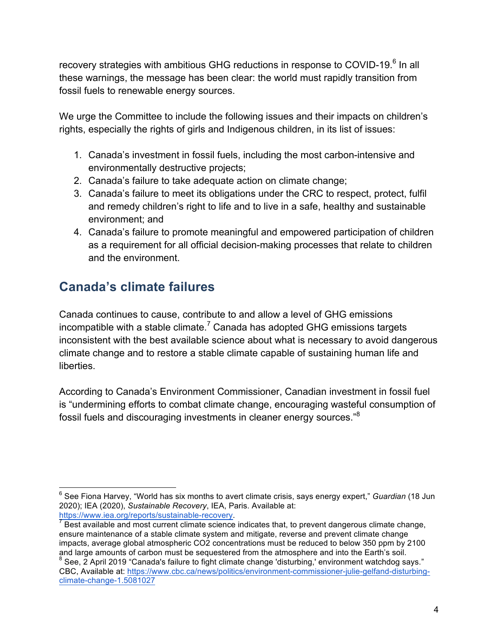recovery strategies with ambitious GHG reductions in response to COVID-19. $^6$  In all these warnings, the message has been clear: the world must rapidly transition from fossil fuels to renewable energy sources.

We urge the Committee to include the following issues and their impacts on children's rights, especially the rights of girls and Indigenous children, in its list of issues:

- 1. Canada's investment in fossil fuels, including the most carbon-intensive and environmentally destructive projects;
- 2. Canada's failure to take adequate action on climate change;
- 3. Canada's failure to meet its obligations under the CRC to respect, protect, fulfil and remedy children's right to life and to live in a safe, healthy and sustainable environment; and
- 4. Canada's failure to promote meaningful and empowered participation of children as a requirement for all official decision-making processes that relate to children and the environment.

# **Canada's climate failures**

Canada continues to cause, contribute to and allow a level of GHG emissions incompatible with a stable climate.<sup>7</sup> Canada has adopted GHG emissions targets inconsistent with the best available science about what is necessary to avoid dangerous climate change and to restore a stable climate capable of sustaining human life and liberties.

According to Canada's Environment Commissioner, Canadian investment in fossil fuel is "undermining efforts to combat climate change, encouraging wasteful consumption of fossil fuels and discouraging investments in cleaner energy sources."<sup>8</sup>

 <sup>6</sup> See Fiona Harvey, "World has six months to avert climate crisis, says energy expert," *Guardian* (18 Jun 2020); IEA (2020), *Sustainable Recovery*, IEA, Paris. Available at:

https://www.iea.org/reports/sustainable-recovery.<br>7 Best available and most current climate science indicates that, to prevent dangerous climate change, ensure maintenance of a stable climate system and mitigate, reverse and prevent climate change impacts, average global atmospheric CO2 concentrations must be reduced to below 350 ppm by 2100 and large amounts of carbon must be sequestered from the atmosphere and into the Earth's soil.

<sup>&</sup>lt;sup>8</sup> See, 2 April 2019 "Canada's failure to fight climate change 'disturbing,' environment watchdog says." CBC, Available at: https://www.cbc.ca/news/politics/environment-commissioner-julie-gelfand-disturbingclimate-change-1.5081027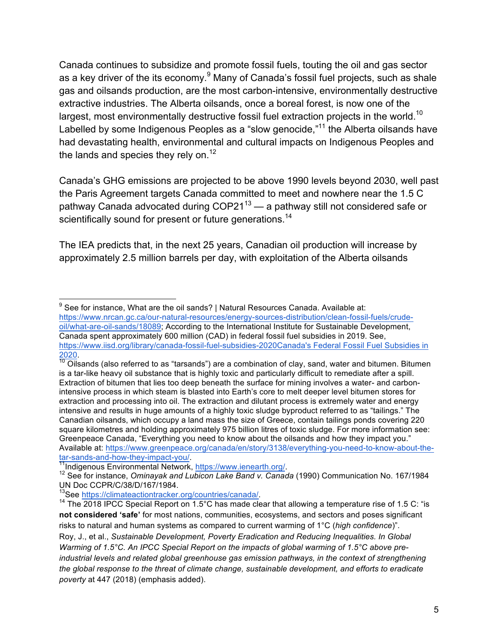Canada continues to subsidize and promote fossil fuels, touting the oil and gas sector as a key driver of the its economy. $9$  Many of Canada's fossil fuel projects, such as shale gas and oilsands production, are the most carbon-intensive, environmentally destructive extractive industries. The Alberta oilsands, once a boreal forest, is now one of the largest, most environmentally destructive fossil fuel extraction projects in the world.<sup>10</sup> Labelled by some Indigenous Peoples as a "slow genocide,"<sup>11</sup> the Alberta oilsands have had devastating health, environmental and cultural impacts on Indigenous Peoples and the lands and species they rely on. $12$ 

Canada's GHG emissions are projected to be above 1990 levels beyond 2030, well past the Paris Agreement targets Canada committed to meet and nowhere near the 1.5 C pathway Canada advocated during  $COP21^{13}$  — a pathway still not considered safe or scientifically sound for present or future generations.<sup>14</sup>

The IEA predicts that, in the next 25 years, Canadian oil production will increase by approximately 2.5 million barrels per day, with exploitation of the Alberta oilsands

 $9$  See for instance, What are the oil sands? | Natural Resources Canada. Available at: https://www.nrcan.gc.ca/our-natural-resources/energy-sources-distribution/clean-fossil-fuels/crudeoil/what-are-oil-sands/18089; According to the International Institute for Sustainable Development, Canada spent approximately 600 million (CAD) in federal fossil fuel subsidies in 2019. See, https://www.iisd.org/library/canada-fossil-fuel-subsidies-2020Canada's Federal Fossil Fuel Subsidies in

 $\frac{2020}{10}$ .<br><sup>10</sup> Oilsands (also referred to as "tarsands") are a combination of clay, sand, water and bitumen. Bitumen is a tar-like heavy oil substance that is highly toxic and particularly difficult to remediate after a spill. Extraction of bitumen that lies too deep beneath the surface for mining involves a water- and carbonintensive process in which steam is blasted into Earth's core to melt deeper level bitumen stores for extraction and processing into oil. The extraction and dilutant process is extremely water and energy intensive and results in huge amounts of a highly toxic sludge byproduct referred to as "tailings." The Canadian oilsands, which occupy a land mass the size of Greece, contain tailings ponds covering 220 square kilometres and holding approximately 975 billion litres of toxic sludge. For more information see: Greenpeace Canada, "Everything you need to know about the oilsands and how they impact you." Available at: https://www.greenpeace.org/canada/en/story/3138/everything-you-need-to-know-about-thetar-sands-and-how-they-impact-you/.<br><sup>11</sup>Indigenous Environmental Network, https://www.ienearth.org/.<br><sup>12</sup> See for instance, *Ominayak and Lubicon Lake Band v. Canada* (1990) Communication No. 167/1984

UN Doc CCPR/C/38/D/167/1984.<br><sup>13</sup>See https://climateactiontracker.org/countries/canada/.

<sup>&</sup>lt;sup>14</sup> The 2018 IPCC Special Report on 1.5°C has made clear that allowing a temperature rise of 1.5 C: "is **not considered 'safe'** for most nations, communities, ecosystems, and sectors and poses significant risks to natural and human systems as compared to current warming of 1°C (*high confidence*)". Roy, J., et al., *Sustainable Development, Poverty Eradication and Reducing Inequalities. In Global Warming of 1.5°C. An IPCC Special Report on the impacts of global warming of 1.5°C above preindustrial levels and related global greenhouse gas emission pathways, in the context of strengthening the global response to the threat of climate change, sustainable development, and efforts to eradicate poverty* at 447 (2018) (emphasis added).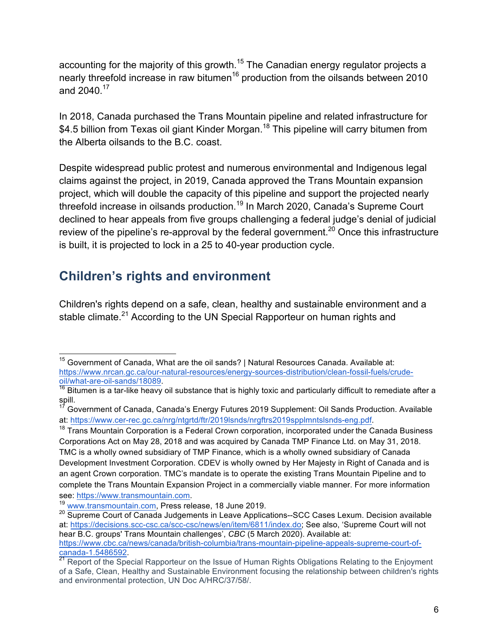accounting for the majority of this growth.<sup>15</sup> The Canadian energy regulator projects a nearly threefold increase in raw bitumen<sup>16</sup> production from the oilsands between 2010 and 2040.<sup>17</sup>

In 2018, Canada purchased the Trans Mountain pipeline and related infrastructure for \$4.5 billion from Texas oil giant Kinder Morgan.<sup>18</sup> This pipeline will carry bitumen from the Alberta oilsands to the B.C. coast.

Despite widespread public protest and numerous environmental and Indigenous legal claims against the project, in 2019, Canada approved the Trans Mountain expansion project, which will double the capacity of this pipeline and support the projected nearly threefold increase in oilsands production.<sup>19</sup> In March 2020, Canada's Supreme Court declined to hear appeals from five groups challenging a federal judge's denial of judicial review of the pipeline's re-approval by the federal government.<sup>20</sup> Once this infrastructure is built, it is projected to lock in a 25 to 40-year production cycle.

## **Children's rights and environment**

Children's rights depend on a safe, clean, healthy and sustainable environment and a stable climate.<sup>21</sup> According to the UN Special Rapporteur on human rights and

<sup>&</sup>lt;sup>15</sup> Government of Canada, What are the oil sands? | Natural Resources Canada. Available at: https://www.nrcan.gc.ca/our-natural-resources/energy-sources-distribution/clean-fossil-fuels/crudeoil/what-are-oil-sands/18089.<br><sup>16</sup> Bitumen is a tar-like heavy oil substance that is highly toxic and particularly difficult to remediate after a

spill.

<sup>17</sup> Government of Canada, Canada's Energy Futures 2019 Supplement: Oil Sands Production. Available at: https://www.cer-rec.gc.ca/nrg/ntgrtd/ftr/2019lsnds/nrgftrs2019spplmntslsnds-eng.pdf.

 $18$  Trans Mountain Corporation is a Federal Crown corporation, incorporated under the Canada Business Corporations Act on May 28, 2018 and was acquired by Canada TMP Finance Ltd. on May 31, 2018. TMC is a wholly owned subsidiary of TMP Finance, which is a wholly owned subsidiary of Canada Development Investment Corporation. CDEV is wholly owned by Her Majesty in Right of Canada and is an agent Crown corporation. TMC's mandate is to operate the existing Trans Mountain Pipeline and to complete the Trans Mountain Expansion Project in a commercially viable manner. For more information see: https://www.transmountain.com.

<sup>19</sup> www.transmountain.com, Press release, 18 June 2019.

<sup>&</sup>lt;sup>20</sup> Supreme Court of Canada Judgements in Leave Applications--SCC Cases Lexum. Decision available at: https://decisions.scc-csc.ca/scc-csc/news/en/item/6811/index.do; See also, 'Supreme Court will not hear B.C. groups' Trans Mountain challenges', *CBC* (5 March 2020). Available at: https://www.cbc.ca/news/canada/british-columbia/trans-mountain-pipeline-appeals-supreme-court-ofcanada-1.5486592.<br><sup>21</sup> Report of the Special Rapporteur on the Issue of Human Rights Obligations Relating to the Enjoyment

of a Safe, Clean, Healthy and Sustainable Environment focusing the relationship between children's rights and environmental protection, UN Doc A/HRC/37/58/.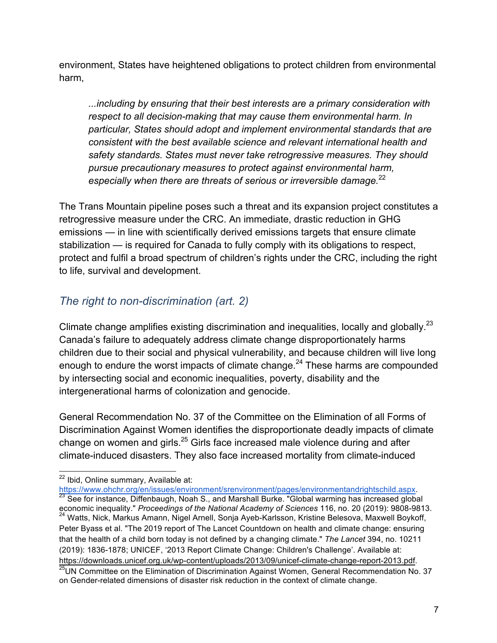environment, States have heightened obligations to protect children from environmental harm,

*...including by ensuring that their best interests are a primary consideration with respect to all decision-making that may cause them environmental harm. In particular, States should adopt and implement environmental standards that are consistent with the best available science and relevant international health and safety standards. States must never take retrogressive measures. They should pursue precautionary measures to protect against environmental harm, especially when there are threats of serious or irreversible damage.*<sup>22</sup>

The Trans Mountain pipeline poses such a threat and its expansion project constitutes a retrogressive measure under the CRC. An immediate, drastic reduction in GHG emissions — in line with scientifically derived emissions targets that ensure climate stabilization — is required for Canada to fully comply with its obligations to respect, protect and fulfil a broad spectrum of children's rights under the CRC, including the right to life, survival and development.

## *The right to non-discrimination (art. 2)*

Climate change amplifies existing discrimination and inequalities, locally and globally.<sup>23</sup> Canada's failure to adequately address climate change disproportionately harms children due to their social and physical vulnerability, and because children will live long enough to endure the worst impacts of climate change. $^{24}$  These harms are compounded by intersecting social and economic inequalities, poverty, disability and the intergenerational harms of colonization and genocide.

General Recommendation No. 37 of the Committee on the Elimination of all Forms of Discrimination Against Women identifies the disproportionate deadly impacts of climate change on women and girls.<sup>25</sup> Girls face increased male violence during and after climate-induced disasters. They also face increased mortality from climate-induced

<sup>22</sup> Ibid, Online summary, Available at:<br>https://www.ohchr.org/en/issues/environment/srenvironment/pages/environmentandrightschild.aspx.  $\frac{23}{23}$  See for instance, Diffenbaugh, Noah S., and Marshall Burke. "Global warming has increased global

economic inequality." *Proceedings of the National Academy of Sciences* 116, no. 20 (2019): 9808-9813. <sup>24</sup> Watts, Nick, Markus Amann, Nigel Arnell, Sonja Ayeb-Karlsson, Kristine Belesova, Maxwell Boykoff,

Peter Byass et al. "The 2019 report of The Lancet Countdown on health and climate change: ensuring that the health of a child born today is not defined by a changing climate." *The Lancet* 394, no. 10211 (2019): 1836-1878; UNICEF, '2013 Report Climate Change: Children's Challenge'. Available at: https://downloads.unicef.org.uk/wp-content/uploads/2013/09/unicef-climate-change-report-2013.pdf.

<sup>&</sup>lt;sup>25</sup>UN Committee on the Elimination of Discrimination Against Women, General Recommendation No. 37 on Gender-related dimensions of disaster risk reduction in the context of climate change.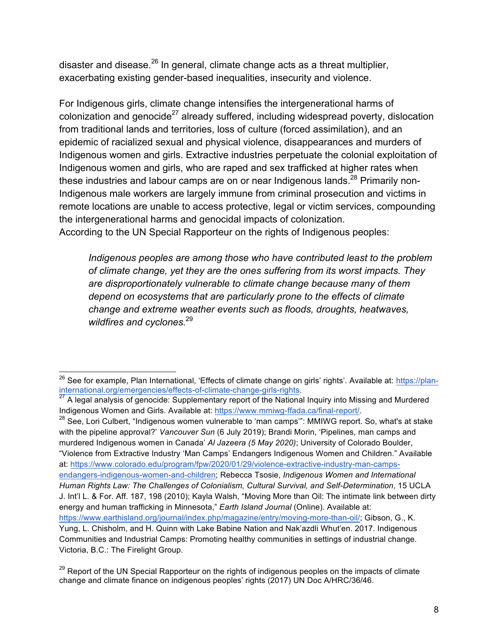disaster and disease. $^{26}$  In general, climate change acts as a threat multiplier, exacerbating existing gender-based inequalities, insecurity and violence.

For Indigenous girls, climate change intensifies the intergenerational harms of colonization and genocide<sup>27</sup> already suffered, including widespread poverty, dislocation from traditional lands and territories, loss of culture (forced assimilation), and an epidemic of racialized sexual and physical violence, disappearances and murders of Indigenous women and girls. Extractive industries perpetuate the colonial exploitation of Indigenous women and girls, who are raped and sex trafficked at higher rates when these industries and labour camps are on or near Indigenous lands.<sup>28</sup> Primarily non-Indigenous male workers are largely immune from criminal prosecution and victims in remote locations are unable to access protective, legal or victim services, compounding the intergenerational harms and genocidal impacts of colonization. According to the UN Special Rapporteur on the rights of Indigenous peoples:

*Indigenous peoples are among those who have contributed least to the problem of climate change, yet they are the ones suffering from its worst impacts. They are disproportionately vulnerable to climate change because many of them depend on ecosystems that are particularly prone to the effects of climate change and extreme weather events such as floods, droughts, heatwaves, wildfires and cyclones.*<sup>29</sup>

 $^{28}$  See, Lori Culbert, "Indigenous women vulnerable to 'man camps'": MMIWG report. So, what's at stake with the pipeline approval?' *Vancouver Sun* (6 July 2019); Brandi Morin, 'Pipelines, man camps and murdered Indigenous women in Canada' *Al Jazeera (5 May 2020)*; University of Colorado Boulder, "Violence from Extractive Industry 'Man Camps' Endangers Indigenous Women and Children." Available at: https://www.colorado.edu/program/fpw/2020/01/29/violence-extractive-industry-man-campsendangers-indigenous-women-and-children; Rebecca Tsosie, *Indigenous Women and International Human Rights Law: The Challenges of Colonialism, Cultural Survival, and Self-Determination*, 15 UCLA J. Int'l L. & For. Aff. 187, 198 (2010); Kayla Walsh, "Moving More than Oil: The intimate link between dirty energy and human trafficking in Minnesota," *Earth Island Journal* (Online). Available at: https://www.earthisland.org/journal/index.php/magazine/entry/moving-more-than-oil/; Gibson, G., K. Yung, L. Chisholm, and H. Quinn with Lake Babine Nation and Nak'azdli Whut'en. 2017. Indigenous Communities and Industrial Camps: Promoting healthy communities in settings of industrial change. Victoria, B.C.: The Firelight Group.

<sup>&</sup>lt;sup>26</sup> See for example, Plan International, 'Effects of climate change on girls' rights', Available at: https://planinternational.org/emergencies/effects-of-climate-change-girls-rights.<br><sup>27</sup> A legal analysis of genocide: Supplementary report of the National Inquiry into Missing and Murdered<br><sup>27</sup> A legal analysis of genocide: Supplementa

Indigenous Women and Girls. Available at: https://www.mmiwg-ffada.ca/final-report/.

<sup>&</sup>lt;sup>29</sup> Report of the UN Special Rapporteur on the rights of indigenous peoples on the impacts of climate change and climate finance on indigenous peoples' rights (2017) UN Doc A/HRC/36/46.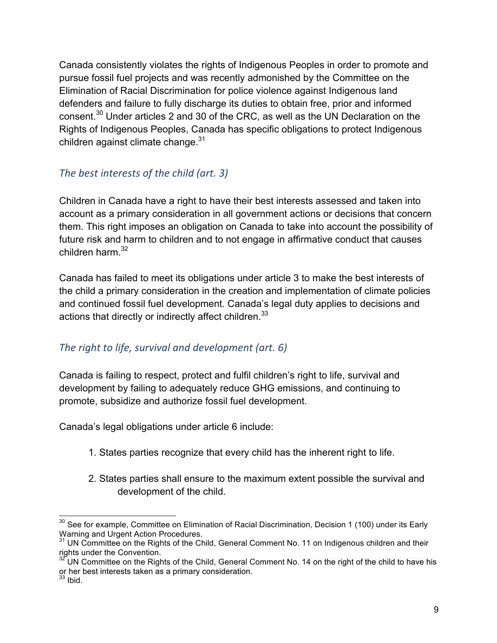Canada consistently violates the rights of Indigenous Peoples in order to promote and pursue fossil fuel projects and was recently admonished by the Committee on the Elimination of Racial Discrimination for police violence against Indigenous land defenders and failure to fully discharge its duties to obtain free, prior and informed consent.30 Under articles 2 and 30 of the CRC, as well as the UN Declaration on the Rights of Indigenous Peoples, Canada has specific obligations to protect Indigenous children against climate change. $31$ 

## *The best interests of the child (art. 3)*

Children in Canada have a right to have their best interests assessed and taken into account as a primary consideration in all government actions or decisions that concern them. This right imposes an obligation on Canada to take into account the possibility of future risk and harm to children and to not engage in affirmative conduct that causes children harm. $32$ 

Canada has failed to meet its obligations under article 3 to make the best interests of the child a primary consideration in the creation and implementation of climate policies and continued fossil fuel development. Canada's legal duty applies to decisions and actions that directly or indirectly affect children.<sup>33</sup>

## The right to life, survival and development (art. 6)

Canada is failing to respect, protect and fulfil children's right to life, survival and development by failing to adequately reduce GHG emissions, and continuing to promote, subsidize and authorize fossil fuel development.

Canada's legal obligations under article 6 include:

- 1. States parties recognize that every child has the inherent right to life.
- 2. States parties shall ensure to the maximum extent possible the survival and development of the child.

<sup>&</sup>lt;sup>30</sup> See for example, Committee on Elimination of Racial Discrimination, Decision 1 (100) under its Early Warning and Urgent Action Procedures.

**<sup>31</sup> UN Committee on the Rights of the Child, General Comment No. 11 on Indigenous children and their** rights under the Convention.

<sup>&</sup>lt;sup>32</sup> UN Committee on the Rights of the Child, General Comment No. 14 on the right of the child to have his or her best interests taken as a primary consideration.

 $33$  lbid.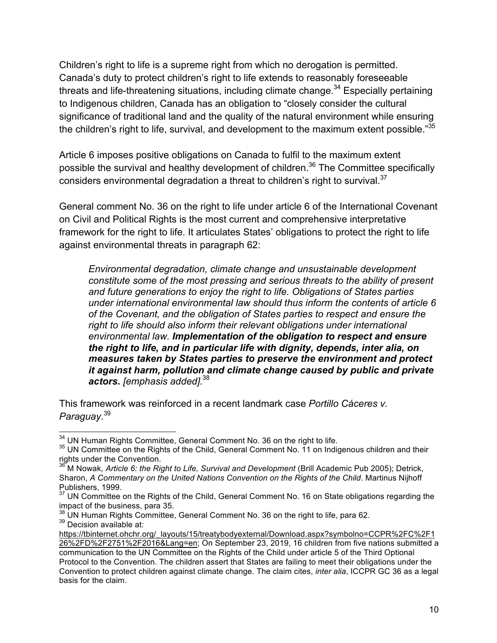Children's right to life is a supreme right from which no derogation is permitted. Canada's duty to protect children's right to life extends to reasonably foreseeable threats and life-threatening situations, including climate change.<sup>34</sup> Especially pertaining to Indigenous children, Canada has an obligation to "closely consider the cultural significance of traditional land and the quality of the natural environment while ensuring the children's right to life, survival, and development to the maximum extent possible."<sup>35</sup>

Article 6 imposes positive obligations on Canada to fulfil to the maximum extent possible the survival and healthy development of children.<sup>36</sup> The Committee specifically considers environmental degradation a threat to children's right to survival.<sup>37</sup>

General comment No. 36 on the right to life under article 6 of the International Covenant on Civil and Political Rights is the most current and comprehensive interpretative framework for the right to life. It articulates States' obligations to protect the right to life against environmental threats in paragraph 62:

*Environmental degradation, climate change and unsustainable development constitute some of the most pressing and serious threats to the ability of present and future generations to enjoy the right to life. Obligations of States parties under international environmental law should thus inform the contents of article 6 of the Covenant, and the obligation of States parties to respect and ensure the right to life should also inform their relevant obligations under international environmental law. Implementation of the obligation to respect and ensure the right to life, and in particular life with dignity, depends, inter alia, on measures taken by States parties to preserve the environment and protect it against harm, pollution and climate change caused by public and private actors. [emphasis added].*<sup>38</sup>

This framework was reinforced in a recent landmark case *Portillo Cáceres v. Paraguay*. 39

 $34$  UN Human Rights Committee, General Comment No. 36 on the right to life.<br> $35$  UN Committee on the Rights of the Child, General Comment No. 11 on Indigenous children and their rights under the Convention.

<sup>36</sup> M Nowak, *Article 6: the Right to Life, Survival and Development* (Brill Academic Pub 2005); Detrick, Sharon, *A Commentary on the United Nations Convention on the Rights of the Child*. Martinus Nijhoff Publishers, 1999.

 $37$  UN Committee on the Rights of the Child, General Comment No. 16 on State obligations regarding the

impact of the business, para 35.<br><sup>38</sup> UN Human Rights Committee, General Comment No. 36 on the right to life, para 62. 39 Decision available at:

https://tbinternet.ohchr.org/\_layouts/15/treatybodyexternal/Download.aspx?symbolno=CCPR%2FC%2F1 26%2FD%2F2751%2F2016&Lang=en; On September 23, 2019, 16 children from five nations submitted a communication to the UN Committee on the Rights of the Child under article 5 of the Third Optional Protocol to the Convention. The children assert that States are failing to meet their obligations under the Convention to protect children against climate change. The claim cites, *inter alia*, ICCPR GC 36 as a legal basis for the claim.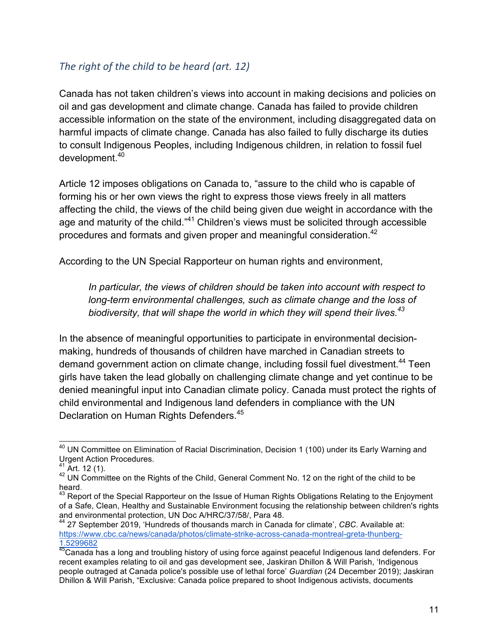### The right of the child to be heard (art. 12)

Canada has not taken children's views into account in making decisions and policies on oil and gas development and climate change. Canada has failed to provide children accessible information on the state of the environment, including disaggregated data on harmful impacts of climate change. Canada has also failed to fully discharge its duties to consult Indigenous Peoples, including Indigenous children, in relation to fossil fuel development.40

Article 12 imposes obligations on Canada to, "assure to the child who is capable of forming his or her own views the right to express those views freely in all matters affecting the child, the views of the child being given due weight in accordance with the age and maturity of the child."<sup>41</sup> Children's views must be solicited through accessible procedures and formats and given proper and meaningful consideration.<sup>42</sup>

According to the UN Special Rapporteur on human rights and environment,

*In particular, the views of children should be taken into account with respect to long-term environmental challenges, such as climate change and the loss of biodiversity, that will shape the world in which they will spend their lives.<sup>43</sup>*

In the absence of meaningful opportunities to participate in environmental decisionmaking, hundreds of thousands of children have marched in Canadian streets to demand government action on climate change, including fossil fuel divestment.<sup>44</sup> Teen girls have taken the lead globally on challenging climate change and yet continue to be denied meaningful input into Canadian climate policy. Canada must protect the rights of child environmental and Indigenous land defenders in compliance with the UN Declaration on Human Rights Defenders.<sup>45</sup>

<sup>&</sup>lt;sup>40</sup> UN Committee on Elimination of Racial Discrimination, Decision 1 (100) under its Early Warning and Urgent Action Procedures.

<sup>&</sup>lt;sup>41</sup> Art. 12 (1).<br><sup>42</sup> UN Committee on the Rights of the Child, General Comment No. 12 on the right of the child to be heard.<br><sup>43</sup> Report of the Special Rapporteur on the Issue of Human Rights Obligations Relating to the Enjoyment

of a Safe, Clean, Healthy and Sustainable Environment focusing the relationship between children's rights and environmental protection, UN Doc A/HRC/37/58/, Para 48.

<sup>44</sup> 27 September 2019, 'Hundreds of thousands march in Canada for climate', *CBC*. Available at: https://www.cbc.ca/news/canada/photos/climate-strike-across-canada-montreal-greta-thunberg-1.5299682

<sup>45</sup>Canada has a long and troubling history of using force against peaceful Indigenous land defenders. For recent examples relating to oil and gas development see, Jaskiran Dhillon & Will Parish, 'Indigenous people outraged at Canada police's possible use of lethal force' *Guardian* (24 December 2019); Jaskiran Dhillon & Will Parish, "Exclusive: Canada police prepared to shoot Indigenous activists, documents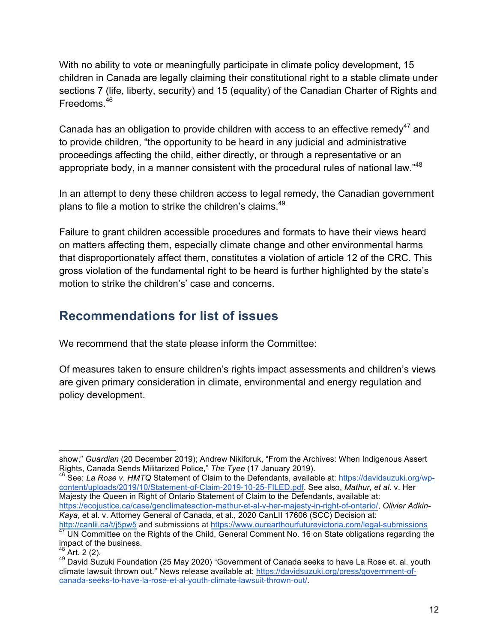With no ability to vote or meaningfully participate in climate policy development, 15 children in Canada are legally claiming their constitutional right to a stable climate under sections 7 (life, liberty, security) and 15 (equality) of the Canadian Charter of Rights and Freedoms.<sup>46</sup>

Canada has an obligation to provide children with access to an effective remedy<sup>47</sup> and to provide children, "the opportunity to be heard in any judicial and administrative proceedings affecting the child, either directly, or through a representative or an appropriate body, in a manner consistent with the procedural rules of national law."<sup>48</sup>

In an attempt to deny these children access to legal remedy, the Canadian government plans to file a motion to strike the children's claims.<sup>49</sup>

Failure to grant children accessible procedures and formats to have their views heard on matters affecting them, especially climate change and other environmental harms that disproportionately affect them, constitutes a violation of article 12 of the CRC. This gross violation of the fundamental right to be heard is further highlighted by the state's motion to strike the children's' case and concerns.

# **Recommendations for list of issues**

We recommend that the state please inform the Committee:

Of measures taken to ensure children's rights impact assessments and children's views are given primary consideration in climate, environmental and energy regulation and policy development.

<sup>46</sup> See: *La Rose v. HMTQ* Statement of Claim to the Defendants, available at: https://davidsuzuki.org/wpcontent/uploads/2019/10/Statement-of-Claim-2019-10-25-FILED.pdf. See also, *Mathur, et al.* v. Her Majesty the Queen in Right of Ontario Statement of Claim to the Defendants, available at: https://ecojustice.ca/case/genclimateaction-mathur-et-al-v-her-majesty-in-right-of-ontario/, *Olivier Adkin-*

*Kaya*, et al. v. Attorney General of Canada, et al., 2020 CanLII 17606 (SCC) Decision at: http://canlii.ca/t/j5pw5 and submissions at https://www.ourearthourfuturevictoria.com/legal-submissions

<sup>1</sup> show," *Guardian* (20 December 2019); Andrew Nikiforuk, "From the Archives: When Indigenous Assert Rights, Canada Sends Militarized Police," The Tyee (17 January 2019).

<sup>&</sup>lt;sup>47</sup> UN Committee on the Rights of the Child, General Comment No. 16 on State obligations regarding the impact of the business.<br> $48$  Art. 2 (2).

 $49$  David Suzuki Foundation (25 May 2020) "Government of Canada seeks to have La Rose et. al. youth climate lawsuit thrown out." News release available at: https://davidsuzuki.org/press/government-ofcanada-seeks-to-have-la-rose-et-al-youth-climate-lawsuit-thrown-out/.